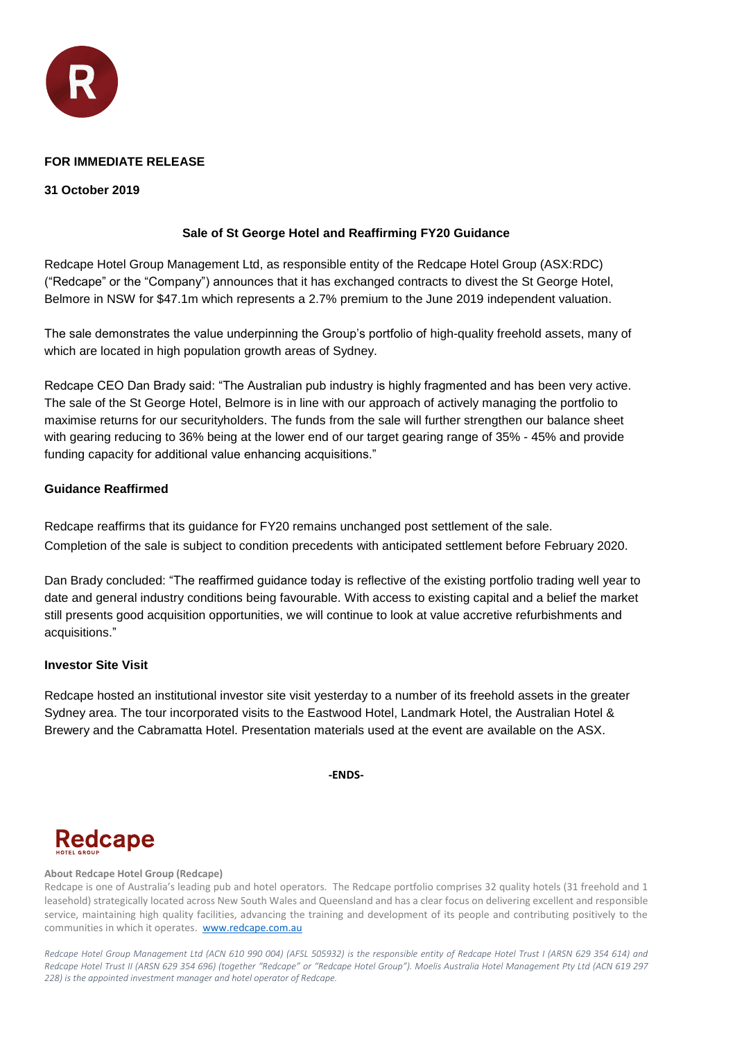

# **FOR IMMEDIATE RELEASE**

# **31 October 2019**

# **Sale of St George Hotel and Reaffirming FY20 Guidance**

Redcape Hotel Group Management Ltd, as responsible entity of the Redcape Hotel Group (ASX:RDC) ("Redcape" or the "Company") announces that it has exchanged contracts to divest the St George Hotel, Belmore in NSW for \$47.1m which represents a 2.7% premium to the June 2019 independent valuation.

The sale demonstrates the value underpinning the Group's portfolio of high-quality freehold assets, many of which are located in high population growth areas of Sydney.

Redcape CEO Dan Brady said: "The Australian pub industry is highly fragmented and has been very active. The sale of the St George Hotel, Belmore is in line with our approach of actively managing the portfolio to maximise returns for our securityholders. The funds from the sale will further strengthen our balance sheet with gearing reducing to 36% being at the lower end of our target gearing range of 35% - 45% and provide funding capacity for additional value enhancing acquisitions."

# **Guidance Reaffirmed**

Redcape reaffirms that its guidance for FY20 remains unchanged post settlement of the sale. Completion of the sale is subject to condition precedents with anticipated settlement before February 2020.

Dan Brady concluded: "The reaffirmed guidance today is reflective of the existing portfolio trading well year to date and general industry conditions being favourable. With access to existing capital and a belief the market still presents good acquisition opportunities, we will continue to look at value accretive refurbishments and acquisitions."

# **Investor Site Visit**

Redcape hosted an institutional investor site visit yesterday to a number of its freehold assets in the greater Sydney area. The tour incorporated visits to the Eastwood Hotel, Landmark Hotel, the Australian Hotel & Brewery and the Cabramatta Hotel. Presentation materials used at the event are available on the ASX.

**-ENDS-**

# **Redcape**

# **About Redcape Hotel Group (Redcape)**

Redcape is one of Australia's leading pub and hotel operators. The Redcape portfolio comprises 32 quality hotels (31 freehold and 1 leasehold) strategically located across New South Wales and Queensland and has a clear focus on delivering excellent and responsible service, maintaining high quality facilities, advancing the training and development of its people and contributing positively to the communities in which it operates. [www.redcape.com.au](http://www.redcape.com.au/)

*Redcape Hotel Group Management Ltd (ACN 610 990 004) (AFSL 505932) is the responsible entity of Redcape Hotel Trust I (ARSN 629 354 614) and Redcape Hotel Trust II (ARSN 629 354 696) (together "Redcape" or "Redcape Hotel Group"). Moelis Australia Hotel Management Pty Ltd (ACN 619 297 228) is the appointed investment manager and hotel operator of Redcape.*